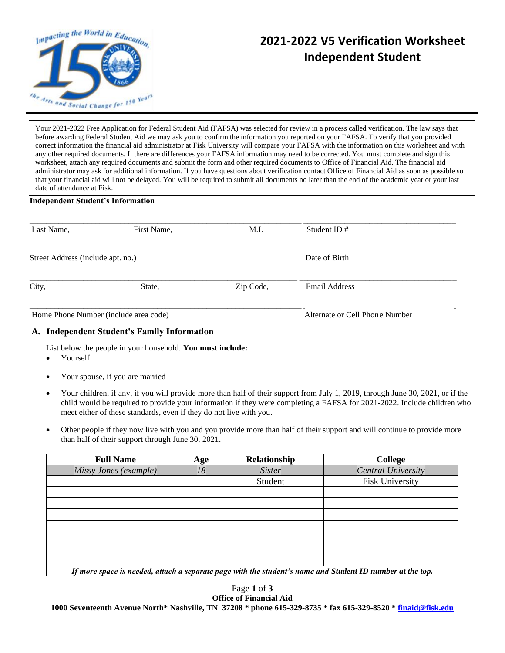

# **2021-2022 V5 Verification Worksheet Independent Student**

Your 2021-2022 Free Application for Federal Student Aid (FAFSA) was selected for review in a process called verification. The law says that before awarding Federal Student Aid we may ask you to confirm the information you reported on your FAFSA. To verify that you provided correct information the financial aid administrator at Fisk University will compare your FAFSA with the information on this worksheet and with any other required documents. If there are differences your FAFSA information may need to be corrected. You must complete and sign this worksheet, attach any required documents and submit the form and other required documents to Office of Financial Aid. The financial aid administrator may ask for additional information. If you have questions about verification contact Office of Financial Aid as soon as possible so that your financial aid will not be delayed. You will be required to submit all documents no later than the end of the academic year or your last date of attendance at Fisk.

#### **Independent Student's Information**

| Last Name,                            | First Name, | M.I.      | Student ID $#$                 |  |
|---------------------------------------|-------------|-----------|--------------------------------|--|
| Street Address (include apt. no.)     |             |           | Date of Birth                  |  |
| City,                                 | State,      | Zip Code, | <b>Email Address</b>           |  |
| Home Phone Number (include area code) |             |           | Alternate or Cell Phone Number |  |

#### **A. Independent Student's Family Information**

List below the people in your household. **You must include:**

- Yourself
- Your spouse, if you are married
- Your children, if any, if you will provide more than half of their support from July 1, 2019, through June 30, 2021, or if the child would be required to provide your information if they were completing a FAFSA for 2021-2022. Include children who meet either of these standards, even if they do not live with you.
- Other people if they now live with you and you provide more than half of their support and will continue to provide more than half of their support through June 30, 2021.

| <b>Full Name</b>                                                                                          | Age | Relationship  | <b>College</b>            |  |
|-----------------------------------------------------------------------------------------------------------|-----|---------------|---------------------------|--|
| Missy Jones (example)                                                                                     | 18  | <i>Sister</i> | <b>Central University</b> |  |
|                                                                                                           |     | Student       | <b>Fisk University</b>    |  |
|                                                                                                           |     |               |                           |  |
|                                                                                                           |     |               |                           |  |
|                                                                                                           |     |               |                           |  |
|                                                                                                           |     |               |                           |  |
|                                                                                                           |     |               |                           |  |
|                                                                                                           |     |               |                           |  |
|                                                                                                           |     |               |                           |  |
| If more space is needed, attach a separate page with the student's name and Student ID number at the top. |     |               |                           |  |

Page **1** of **3 Office of Financial Aid 1000 Seventeenth Avenue North\* Nashville, TN 37208 \* phone 615-329-8735 \* fax 615-329-8520 \* [finaid@fisk.edu](mailto:finaid@fisk.edu)**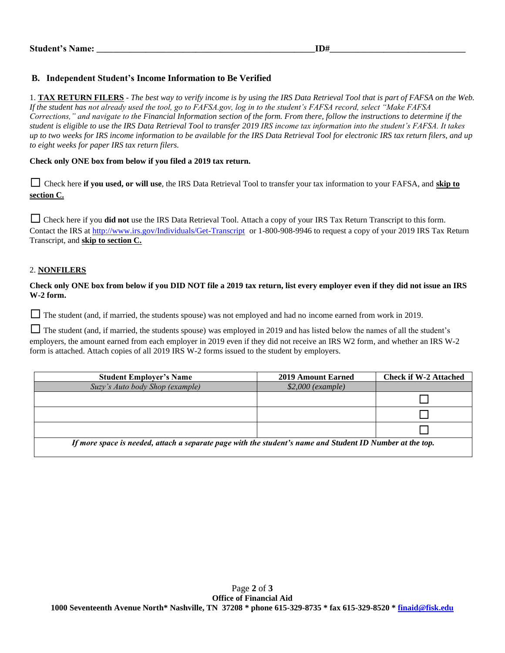### **B. Independent Student's Income Information to Be Verified**

1. **TAX RETURN FILERS** - *The best way to verify income is by using the IRS Data Retrieval Tool that is part of FAFSA on the Web. If the student has not already used the tool, go to FAFSA.gov, log in to the student's FAFSA record, select "Make FAFSA Corrections," and navigate to the Financial Information section of the form. From there, follow the instructions to determine if the student is eligible to use the IRS Data Retrieval Tool to transfer 2019 IRS income tax information into the student's FAFSA. It takes up to two weeks for IRS income information to be available for the IRS Data Retrieval Tool for electronic IRS tax return filers, and up to eight weeks for paper IRS tax return filers.*

#### **Check only ONE box from below if you filed a 2019 tax return.**

☐ Check here **if you used, or will use**, the IRS Data Retrieval Tool to transfer your tax information to your FAFSA, and **skip to section C.**

□ Check here if you **did not** use the IRS Data Retrieval Tool. Attach a copy of your IRS Tax Return Transcript to this form. Contact the IRS at<http://www.irs.gov/Individuals/Get-Transcript> or 1-800-908-9946 to request a copy of your 2019 IRS Tax Return Transcript, and **skip to section C.**

#### 2. **NONFILERS**

#### **Check only ONE box from below if you DID NOT file a 2019 tax return, list every employer even if they did not issue an IRS W-2 form.**

□ The student (and, if married, the students spouse) was not employed and had no income earned from work in 2019.

□ The student (and, if married, the students spouse) was employed in 2019 and has listed below the names of all the student's employers, the amount earned from each employer in 2019 even if they did not receive an IRS W2 form, and whether an IRS W-2 form is attached. Attach copies of all 2019 IRS W-2 forms issued to the student by employers.

| <b>Student Employer's Name</b>                                                                            | 2019 Amount Earned | <b>Check if W-2 Attached</b> |  |  |
|-----------------------------------------------------------------------------------------------------------|--------------------|------------------------------|--|--|
| Suzy's Auto body Shop (example)                                                                           | $$2,000$ (example) |                              |  |  |
|                                                                                                           |                    |                              |  |  |
|                                                                                                           |                    |                              |  |  |
|                                                                                                           |                    |                              |  |  |
| If more space is needed, attach a separate page with the student's name and Student ID Number at the top. |                    |                              |  |  |